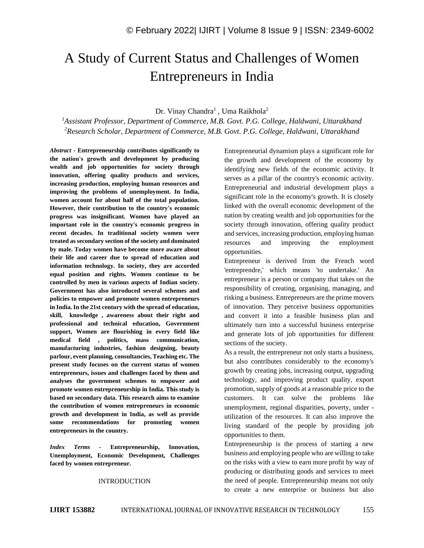# A Study of Current Status and Challenges of Women Entrepreneurs in India

#### Dr. Vinay Chandra<sup>1</sup>, Uma Raikhola<sup>2</sup>

*<sup>1</sup>Assistant Professor, Department of Commerce, M.B. Govt. P.G. College, Haldwani, Uttarakhand <sup>2</sup>Research Scholar, Department of Commerce, M.B. Govt. P.G. College, Haldwani, Uttarakhand*

*Abstract -* **Entrepreneurship contributes significantly to the nation's growth and development by producing wealth and job opportunities for society through innovation, offering quality products and services, increasing production, employing human resources and improving the problems of unemployment. In India, women account for about half of the total population. However, their contribution to the country's economic progress was insignificant. Women have played an important role in the country's economic progress in recent decades. In traditional society women were treated as secondary section of the society and dominated by male. Today women have become more aware about their life and career due to spread of education and information technology. In society, they are accorded equal position and rights. Women continue to be controlled by men in various aspects of Indian society. Government has also introduced several schemes and policies to empower and promote women entrepreneurs in India. In the 21st century with the spread of education, skill, knowledge , awareness about their right and professional and technical education, Government support, Women are flourishing in every field like medical field , politics, mass communication, manufacturing industries, fashion designing, beauty parlour, event planning, consultancies, Teaching etc. The present study focuses on the current status of women entrepreneurs, issues and challenges faced by them and analyses the government schemes to empower and promote women entrepreneurship in India. This study is based on secondary data. This research aims to examine the contribution of women entrepreneurs in economic growth and development in India, as well as provide some recommendations for promoting women entrepreneurs in the country.**

*Index Terms -* **Entrepreneurship, Innovation, Unemployment, Economic Development, Challenges faced by women entrepreneur.**

#### INTRODUCTION

Entrepreneurial dynamism plays a significant role for the growth and development of the economy by identifying new fields of the economic activity. It serves as a pillar of the country's economic activity. Entrepreneurial and industrial development plays a significant role in the economy's growth. It is closely linked with the overall economic development of the nation by creating wealth and job opportunities for the society through innovation, offering quality product and services, increasing production, employing human resources and improving the employment opportunities.

Entrepreneur is derived from the French word 'entreprendre,' which means 'to undertake.' An entrepreneur is a person or company that takes on the responsibility of creating, organising, managing, and risking a business. Entrepreneurs are the prime movers of innovation. They perceive business opportunities and convert it into a feasible business plan and ultimately turn into a successful business enterprise and generate lots of job opportunities for different sections of the society.

As a result, the entrepreneur not only starts a business, but also contributes considerably to the economy's growth by creating jobs, increasing output, upgrading technology, and improving product quality, export promotion, supply of goods at a reasonable price to the customers. It can solve the problems like unemployment, regional disparities, poverty, under utilization of the resources. It can also improve the living standard of the people by providing job opportunities to them.

Entrepreneurship is the process of starting a new business and employing people who are willing to take on the risks with a view to earn more profit by way of producing or distributing goods and services to meet the need of people. Entrepreneurship means not only to create a new enterprise or business but also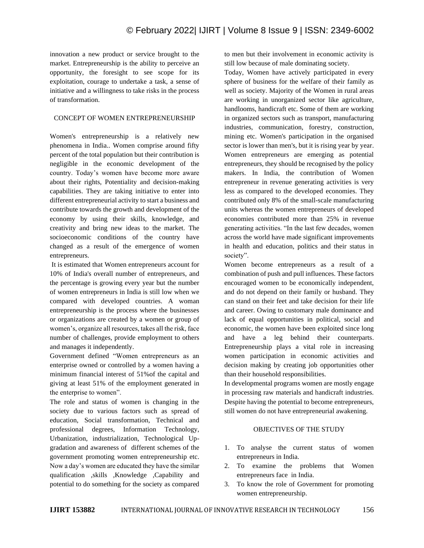innovation a new product or service brought to the market. Entrepreneurship is the ability to perceive an opportunity, the foresight to see scope for its exploitation, courage to undertake a task, a sense of initiative and a willingness to take risks in the process of transformation.

## CONCEPT OF WOMEN ENTREPRENEURSHIP

Women's entrepreneurship is a relatively new phenomena in India.. Women comprise around fifty percent of the total population but their contribution is negligible in the economic development of the country. Today's women have become more aware about their rights, Potentiality and decision-making capabilities. They are taking initiative to enter into different entrepreneurial activity to start a business and contribute towards the growth and development of the economy by using their skills, knowledge, and creativity and bring new ideas to the market. The socioeconomic conditions of the country have changed as a result of the emergence of women entrepreneurs.

It is estimated that Women entrepreneurs account for 10% of India's overall number of entrepreneurs, and the percentage is growing every year but the number of women entrepreneurs in India is still low when we compared with developed countries. A woman entrepreneurship is the process where the businesses or organizations are created by a women or group of women's, organize all resources, takes all the risk, face number of challenges, provide employment to others and manages it independently.

Government defined "Women entrepreneurs as an enterprise owned or controlled by a women having a minimum financial interest of 51%of the capital and giving at least 51% of the employment generated in the enterprise to women".

The role and status of women is changing in the society due to various factors such as spread of education, Social transformation, Technical and professional degrees, Information Technology, Urbanization, industrialization, Technological Upgradation and awareness of different schemes of the government promoting women entrepreneurship etc. Now a day's women are educated they have the similar qualification ,skills ,Knowledge ,Capability and potential to do something for the society as compared

to men but their involvement in economic activity is still low because of male dominating society.

Today, Women have actively participated in every sphere of business for the welfare of their family as well as society. Majority of the Women in rural areas are working in unorganized sector like agriculture, handlooms, handicraft etc. Some of them are working in organized sectors such as transport, manufacturing industries, communication, forestry, construction, mining etc. Women's participation in the organised sector is lower than men's, but it is rising year by year. Women entrepreneurs are emerging as potential entrepreneurs, they should be recognised by the policy makers. In India, the contribution of Women entrepreneur in revenue generating activities is very less as compared to the developed economies. They contributed only 8% of the small-scale manufacturing units whereas the women entrepreneurs of developed economies contributed more than 25% in revenue generating activities. "In the last few decades, women across the world have made significant improvements in health and education, politics and their status in society".

Women become entrepreneurs as a result of a combination of push and pull influences. These factors encouraged women to be economically independent, and do not depend on their family or husband. They can stand on their feet and take decision for their life and career. Owing to customary male dominance and lack of equal opportunities in political, social and economic, the women have been exploited since long and have a leg behind their counterparts. Entrepreneurship plays a vital role in increasing women participation in economic activities and decision making by creating job opportunities other than their household responsibilities.

In developmental programs women are mostly engage in processing raw materials and handicraft industries. Despite having the potential to become entrepreneurs, still women do not have entrepreneurial awakening.

#### OBJECTIVES OF THE STUDY

- 1. To analyse the current status of women entrepreneurs in India.
- 2. To examine the problems that Women entrepreneurs face in India.
- 3. To know the role of Government for promoting women entrepreneurship.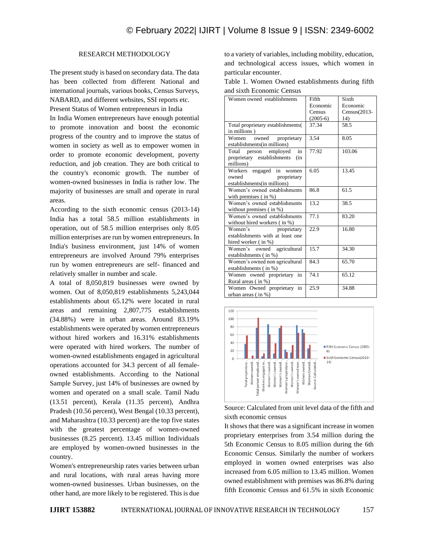### RESEARCH METHODOLOGY

The present study is based on secondary data. The data has been collected from different National and international journals, various books, Census Surveys, NABARD, and different websites, SSI reports etc.

Present Status of Women entrepreneurs in India In India Women entrepreneurs have enough potential to promote innovation and boost the economic progress of the country and to improve the status of women in society as well as to empower women in order to promote economic development, poverty reduction, and job creation. They are both critical to the country's economic growth. The number of women-owned businesses in India is rather low. The majority of businesses are small and operate in rural areas.

According to the sixth economic census (2013-14) India has a total 58.5 million establishments in operation, out of 58.5 million enterprises only 8.05 million enterprises are run by women entrepreneurs. In India's business environment, just 14% of women entrepreneurs are involved Around 79% enterprises run by women entrepreneurs are self- financed and relatively smaller in number and scale.

A total of 8,050,819 businesses were owned by women. Out of 8,050,819 establishments 5,243,044 establishments about 65.12% were located in rural areas and remaining 2,807,775 establishments (34.88%) were in urban areas. Around 83.19% establishments were operated by women entrepreneurs without hired workers and 16.31% establishments were operated with hired workers. The number of women-owned establishments engaged in agricultural operations accounted for 34.3 percent of all femaleowned establishments. According to the National Sample Survey, just 14% of businesses are owned by women and operated on a small scale. Tamil Nadu (13.51 percent), Kerala (11.35 percent), Andhra Pradesh (10.56 percent), West Bengal (10.33 percent), and Maharashtra (10.33 percent) are the top five states with the greatest percentage of women-owned businesses (8.25 percent). 13.45 million Individuals are employed by women-owned businesses in the country.

Women's entrepreneurship rates varies between urban and rural locations, with rural areas having more women-owned businesses. Urban businesses, on the other hand, are more likely to be registered. This is due

to a variety of variables, including mobility, education, and technological access issues, which women in particular encounter.

Table 1. Women Owned establishments during fifth and sixth Economic Census

| Women owned establishments        | Fifth      | Sixth           |
|-----------------------------------|------------|-----------------|
|                                   | Economic   | Economic        |
|                                   | Census     | $Census(2013 -$ |
|                                   | $(2005-6)$ | 14)             |
| Total proprietary establishments( | 37.34      | 58.5            |
| in millions)                      |            |                 |
| Women owned proprietary           | 3.54       | 8.05            |
| establishments (in millions)      |            |                 |
| in<br>Total<br>person employed    | 77.92      | 103.06          |
| proprietary establishments<br>(in |            |                 |
| millions)                         |            |                 |
| engaged in women<br>Workers       | 6.05       | 13.45           |
| proprietary<br>owned              |            |                 |
| establishments(in millions)       |            |                 |
| Women's owned establishments      | 86.8       | 61.5            |
| with premises $($ in $%)$         |            |                 |
| Women's owned establishments      | 13.2       | 38.5            |
| without premises $($ in $%)$      |            |                 |
| Women's owned establishments      | 77.1       | 83.20           |
| without hired workers (in %)      |            |                 |
| Women's<br>proprietary            | 22.9       | 16.80           |
| establishments with at least one  |            |                 |
| hired worker (in %)               |            |                 |
| Women's owned agricultural        | 15.7       | 34.30           |
| establishments (in %)             |            |                 |
| Women's owned non agricultural    | 84.3       | 65.70           |
| establishments (in %)             |            |                 |
| Women owned proprietary<br>in     | 74.1       | 65.12           |
| Rural areas (in %)                |            |                 |
| Women Owned proprietary in        | 25.9       | 34.88           |
| urban areas (in %)                |            |                 |



Source: Calculated from unit level data of the fifth and sixth economic census

It shows that there was a significant increase in women proprietary enterprises from 3.54 million during the 5th Economic Census to 8.05 million during the 6th Economic Census. Similarly the number of workers employed in women owned enterprises was also increased from 6.05 million to 13.45 million. Women owned establishment with premises was 86.8% during fifth Economic Census and 61.5% in sixth Economic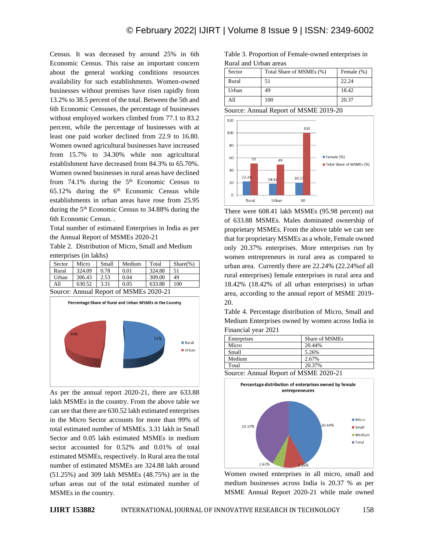Census. It was deceased by around 25% in 6th Economic Census. This raise an important concern about the general working conditions resources availability for such establishments. Women-owned businesses without premises have risen rapidly from 13.2% to 38.5 percent of the total. Between the 5th and 6th Economic Censuses, the percentage of businesses without employed workers climbed from 77.1 to 83.2 percent, while the percentage of businesses with at least one paid worker declined from 22.9 to 16.80. Women owned agricultural businesses have increased from 15.7% to 34.30% while non agricultural establishment have decreased from 84.3% to 65.70%. Women owned businesses in rural areas have declined from  $74.1\%$  during the  $5<sup>th</sup>$  Economic Census to  $65.12\%$  during the  $6<sup>th</sup>$  Economic Census while establishments in urban areas have rose from 25.95 during the 5<sup>th</sup> Economic Census to 34.88% during the 6th Economic Census. .

Total number of estimated Enterprises in India as per the Annual Report of MSMEs 2020-21

Table 2. Distribution of Micro, Small and Medium enterprises (in lakhs)

| Sector | Micro  | Small | Medium | Total  | $Share(\%)$ |
|--------|--------|-------|--------|--------|-------------|
| Rural  | 324.09 | 0.78  | 0.01   | 324.88 | 51          |
| Urban  | 306.43 | 2.53  | 0.04   | 309.00 | 49          |
| A11    | 630.52 | 3.31  | 0.05   | 633.88 | 100         |

Source: Annual Report of MSMEs 2020-21



As per the annual report 2020-21, there are 633.88 lakh MSMEs in the country. From the above table we can see that there are 630.52 lakh estimated enterprises in the Micro Sector accounts for more than 99% of total estimated number of MSMEs. 3.31 lakh in Small Sector and 0.05 lakh estimated MSMEs in medium sector accounted for 0.52% and 0.01% of total estimated MSMEs, respectively. In Rural area the total number of estimated MSMEs are 324.88 lakh around (51.25%) and 309 lakh MSMEs (48.75%) are in the urban areas out of the total estimated number of MSMEs in the country.

Table 3. Proportion of Female-owned enterprises in Rural and Urban areas

| Sector | Total Share of MSMEs (%) | Female (%) |
|--------|--------------------------|------------|
| Rural  | 51                       | 22.24      |
| Urban  | 49                       | 18.42      |
| A11    | 100                      | 20.37      |

Source: Annual Report of MSME 2019-20



There were 608.41 lakh MSMEs (95.98 percent) out of 633.88 MSMEs. Males dominated ownership of proprietary MSMEs. From the above table we can see that for proprietary MSMEs as a whole, Female owned only 20.37% enterprises. More enterprises run by women entrepreneurs in rural area as compared to urban area. Currently there are 22.24% (22.24%of all rural enterprises) female enterprises in rural area and 18.42% (18.42% of all urban enterprises) in urban area, according to the annual report of MSME 2019- 20.

Table 4. Percentage distribution of Micro, Small and Medium Enterprises owned by women across India in Financial year 2021

| Enterprises      | Share of MSMEs |
|------------------|----------------|
| Micro            | 20.44%         |
| Small            | 5.26%          |
| Medium           | 2.67%          |
| Total            | 20.37%         |
| $\sim$<br>$\sim$ |                |



Women owned enterprises in all micro, small and medium businesses across India is 20.37 % as per MSME Annual Report 2020-21 while male owned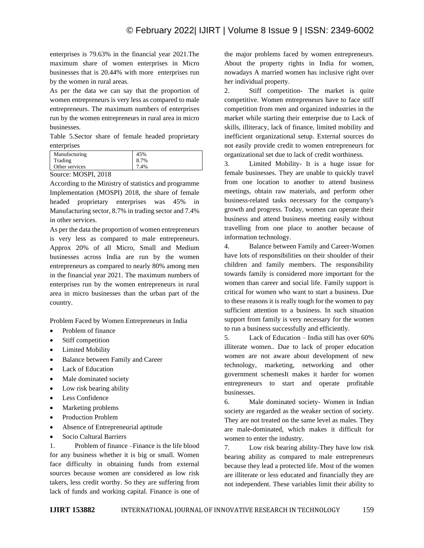enterprises is 79.63% in the financial year 2021.The maximum share of women enterprises in Micro businesses that is 20.44% with more enterprises run by the women in rural areas.

As per the data we can say that the proportion of women entrepreneurs is very less as compared to male entrepreneurs. The maximum numbers of enterprises run by the women entrepreneurs in rural area in micro businesses.

Table 5.Sector share of female headed proprietary enterprises

| Manufacturing  | 45%  |
|----------------|------|
| Trading        | 8.7% |
| Other services | 7.4% |

Source: MOSPI, 2018

According to the Ministry of statistics and programme Implementation (MOSPI) 2018, the share of female headed proprietary enterprises was 45% in Manufacturing sector, 8.7% in trading sector and 7.4% in other services.

As per the data the proportion of women entrepreneurs is very less as compared to male entrepreneurs. Approx 20% of all Micro, Small and Medium businesses across India are run by the women entrepreneurs as compared to nearly 80% among men in the financial year 2021. The maximum numbers of enterprises run by the women entrepreneurs in rural area in micro businesses than the urban part of the country.

Problem Faced by Women Entrepreneurs in India

- Problem of finance
- Stiff competition
- Limited Mobility
- Balance between Family and Career
- Lack of Education
- Male dominated society
- Low risk bearing ability
- Less Confidence
- Marketing problems
- Production Problem
- Absence of Entrepreneurial aptitude
- Socio Cultural Barriers

1. Problem of finance –Finance is the life blood for any business whether it is big or small. Women face difficulty in obtaining funds from external sources because women are considered as low risk takers, less credit worthy. So they are suffering from lack of funds and working capital. Finance is one of

the major problems faced by women entrepreneurs. About the property rights in India for women, nowadays A married women has inclusive right over her individual property.

2. Stiff competition- The market is quite competitive. Women entrepreneurs have to face stiff competition from men and organized industries in the market while starting their enterprise due to Lack of skills, illiteracy, lack of finance, limited mobility and inefficient organizational setup. External sources do not easily provide credit to women entrepreneurs for organizational set due to lack of credit worthiness.

3. Limited Mobility- It is a huge issue for female businesses. They are unable to quickly travel from one location to another to attend business meetings, obtain raw materials, and perform other business-related tasks necessary for the company's growth and progress. Today, women can operate their business and attend business meeting easily without travelling from one place to another because of information technology.

4. Balance between Family and Career-Women have lots of responsibilities on their shoulder of their children and family members. The responsibility towards family is considered more important for the women than career and social life. Family support is critical for women who want to start a business. Due to these reasons it is really tough for the women to pay sufficient attention to a business. In such situation support from family is very necessary for the women to run a business successfully and efficiently.

5. Lack of Education – India still has over 60% illiterate women.. Due to lack of proper education women are not aware about development of new technology, marketing, networking and other government schemesIt makes it harder for women entrepreneurs to start and operate profitable businesses.

6. Male dominated society- Women in Indian society are regarded as the weaker section of society. They are not treated on the same level as males. They are male-dominated, which makes it difficult for women to enter the industry.

7. Low risk bearing ability-They have low risk bearing ability as compared to male entrepreneurs because they lead a protected life. Most of the women are illiterate or less educated and financially they are not independent. These variables limit their ability to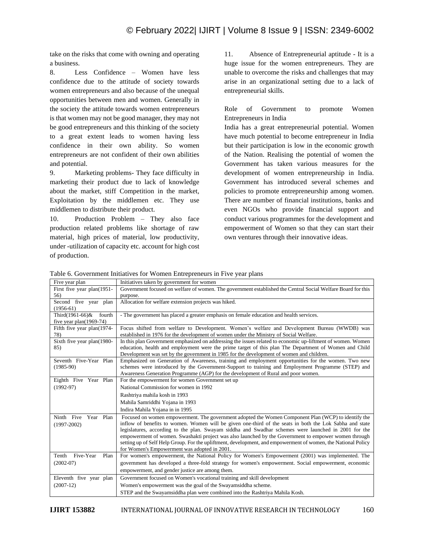take on the risks that come with owning and operating a business.

8. Less Confidence – Women have less confidence due to the attitude of society towards women entrepreneurs and also because of the unequal opportunities between men and women. Generally in the society the attitude towards women entrepreneurs is that women may not be good manager, they may not be good entrepreneurs and this thinking of the society to a great extent leads to women having less confidence in their own ability. So women entrepreneurs are not confident of their own abilities and potential.

9. Marketing problems- They face difficulty in marketing their product due to lack of knowledge about the market, stiff Competition in the market, Exploitation by the middlemen etc. They use middlemen to distribute their product.

10. Production Problem – They also face production related problems like shortage of raw material, high prices of material, low productivity, under -utilization of capacity etc. account for high cost of production.

11. Absence of Entrepreneurial aptitude - It is a huge issue for the women entrepreneurs. They are unable to overcome the risks and challenges that may arise in an organizational setting due to a lack of entrepreneurial skills.

Role of Government to promote Women Entrepreneurs in India

India has a great entrepreneurial potential. Women have much potential to become entrepreneur in India but their participation is low in the economic growth of the Nation. Realising the potential of women the Government has taken various measures for the development of women entrepreneurship in India. Government has introduced several schemes and policies to promote entrepreneurship among women. There are number of financial institutions, banks and even NGOs who provide financial support and conduct various programmes for the development and empowerment of Women so that they can start their own ventures through their innovative ideas.

Table 6. Government Initiatives for Women Entrepreneurs in Five year plans

| Five year plan             | Initiatives taken by government for women                                                                     |
|----------------------------|---------------------------------------------------------------------------------------------------------------|
| First five year plan(1951- | Government focused on welfare of women. The government established the Central Social Welfare Board for this  |
| 56)                        | purpose.                                                                                                      |
| Second five year plan      | Allocation for welfare extension projects was hiked.                                                          |
| $(1956-61)$                |                                                                                                               |
| Third(1961-66)&<br>fourth  | - The government has placed a greater emphasis on female education and health services.                       |
| five year $plan(1969-74)$  |                                                                                                               |
| Fifth five year plan(1974- | Focus shifted from welfare to Development. Women's welfare and Development Bureau (WWDB) was                  |
| 78)                        | established in 1976 for the development of women under the Ministry of Social Welfare.                        |
| Sixth five year plan(1980- | In this plan Government emphasized on addressing the issues related to economic up-liftment of women. Women   |
| 85)                        | education, health and employment were the prime target of this plan The Department of Women and Child         |
|                            | Development was set by the government in 1985 for the development of women and children.                      |
| Seventh Five-Year Plan     | Emphasized on Generation of Awareness, training and employment opportunities for the women. Two new           |
| $(1985-90)$                | schemes were introduced by the Government-Support to training and Employment Programme (STEP) and             |
|                            | Awareness Generation Programme (AGP) for the development of Rural and poor women.                             |
| Eighth Five Year Plan      | For the empowerment for women Government set up                                                               |
| $(1992-97)$                | National Commission for women in 1992                                                                         |
|                            | Rashtriya mahila kosh in 1993                                                                                 |
|                            | Mahila Samriddhi Yojana in 1993                                                                               |
|                            | Indira Mahila Yojana in in 1995                                                                               |
| Ninth Five<br>Year Plan    | Focused on women empowerment. The government adopted the Women Component Plan (WCP) to identify the           |
| $(1997 - 2002)$            | inflow of benefits to women. Women will be given one-third of the seats in both the Lok Sabha and state       |
|                            | legislatures, according to the plan. Swayam siddha and Swadhar schemes were launched in 2001 for the          |
|                            | empowerment of women. Swashakti project was also launched by the Government to empower women through          |
|                            | setting up of Self Help Group. For the upliftment, development, and empowerment of women, the National Policy |
|                            | for Women's Empowerment was adopted in 2001.                                                                  |
| Five-Year<br>Tenth<br>Plan | For women's empowerment, the National Policy for Women's Empowerment (2001) was implemented. The              |
| $(2002-07)$                | government has developed a three-fold strategy for women's empowerment. Social empowerment, economic          |
|                            | empowerment, and gender justice are among them.                                                               |
| Eleventh five year plan    | Government focused on Women's vocational training and skill development                                       |
| $(2007-12)$                | Women's empowerment was the goal of the Swayamsiddha scheme.                                                  |
|                            | STEP and the Swayamsiddha plan were combined into the Rashtriya Mahila Kosh.                                  |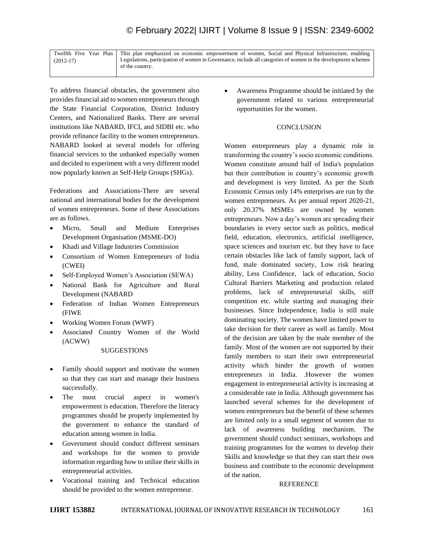|             | Twelfth Five Year Plan This plan emphasized on economic empowerment of women, Social and Physical Infrastructure, enabling |
|-------------|----------------------------------------------------------------------------------------------------------------------------|
| $(2012-17)$ | Legislations, participation of women in Governance, include all categories of women in the development schemes             |
|             | of the country.                                                                                                            |

To address financial obstacles, the government also provides financial aid to women entrepreneurs through the State Financial Corporation, District Industry Centers, and Nationalized Banks. There are several institutions like NABARD, IFCI, and SIDBI etc. who provide refinance facility to the women entrepreneurs. NABARD looked at several models for offering financial services to the unbanked especially women and decided to experiment with a very different model now popularly known as Self-Help Groups (SHGs).

Federations and Associations-There are several national and international bodies for the development of women entrepreneurs. Some of these Associations are as follows.

- Micro, Small and Medium Enterprises Development Organisation (MSME-DO)
- Khadi and Village Industries Commission
- Consortium of Women Entrepreneurs of India (CWEI)
- Self-Employed Women's Association (SEWA)
- National Bank for Agriculture and Rural Development (NABARD
- Federation of Indian Women Entrepreneurs (FIWE
- Working Women Forum (WWF)
- Associated Country Women of the World (ACWW)

#### **SUGGESTIONS**

- Family should support and motivate the women so that they can start and manage their business successfully.
- The most crucial aspect in women's empowerment is education. Therefore the literacy programmes should be properly implemented by the government to enhance the standard of education among women in India.
- Government should conduct different seminars and workshops for the women to provide information regarding how to utilize their skills in entrepreneurial activities.
- Vocational training and Technical education should be provided to the women entrepreneur.

• Awareness Programme should be initiated by the government related to various entrepreneurial opportunities for the women.

### **CONCLUSION**

Women entrepreneurs play a dynamic role in transforming the country's socio economic conditions. Women constitute around half of India's population but their contribution in country's economic growth and development is very limited. As per the Sixth Economic Census only 14% enterprises are run by the women entrepreneurs. As per annual report 2020-21, only 20.37% MSMEs are owned by women entrepreneurs. Now a day's women are spreading their boundaries in every sector such as politics, medical field, education, electronics, artificial intelligence, space sciences and tourism etc. but they have to face certain obstacles like lack of family support, lack of fund, male dominated society, Low risk bearing ability, Less Confidence, lack of education, Socio Cultural Barriers Marketing and production related problems, lack of entrepreneurial skills, stiff competition etc. while starting and managing their businesses. Since Independence, India is still male dominating society. The women have limited power to take decision for their career as well as family. Most of the decision are taken by the male member of the family. Most of the women are not supported by their family members to start their own entrepreneurial activity which hinder the growth of women entrepreneurs in India. .However the women engagement in entrepreneurial activity is increasing at a considerable rate in India. Although government has launched several schemes for the development of women entrepreneurs but the benefit of these schemes are limited only to a small segment of women due to lack of awareness building mechanism. The government should conduct seminars, workshops and training programmes for the women to develop their Skills and knowledge so that they can start their own business and contribute to the economic development of the nation.

#### REFERENCE